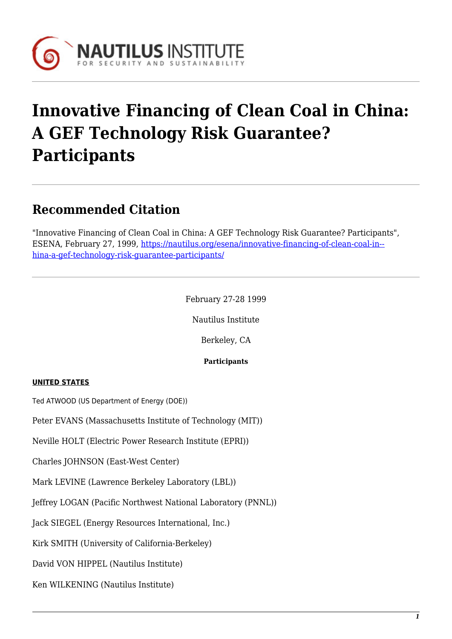

# **Innovative Financing of Clean Coal in China: A GEF Technology Risk Guarantee? Participants**

# **Recommended Citation**

"Innovative Financing of Clean Coal in China: A GEF Technology Risk Guarantee? Participants", ESENA, February 27, 1999, [https://nautilus.org/esena/innovative-financing-of-clean-coal-in-](https://nautilus.org/esena/innovative-financing-of-clean-coal-in-china-a-gef-technology-risk-guarantee-participants/) [hina-a-gef-technology-risk-guarantee-participants/](https://nautilus.org/esena/innovative-financing-of-clean-coal-in-china-a-gef-technology-risk-guarantee-participants/)

February 27-28 1999

Nautilus Institute

Berkeley, CA

#### **Participants**

#### **UNITED STATES**

Ted ATWOOD (US Department of Energy (DOE))

Peter EVANS (Massachusetts Institute of Technology (MIT))

Neville HOLT (Electric Power Research Institute (EPRI))

Charles JOHNSON (East-West Center)

Mark LEVINE (Lawrence Berkeley Laboratory (LBL))

Jeffrey LOGAN (Pacific Northwest National Laboratory (PNNL))

Jack SIEGEL (Energy Resources International, Inc.)

Kirk SMITH (University of California-Berkeley)

David VON HIPPEL (Nautilus Institute)

Ken WILKENING (Nautilus Institute)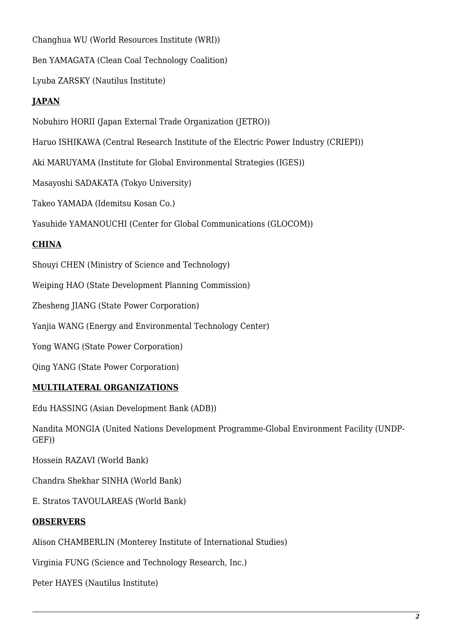Changhua WU (World Resources Institute (WRI))

Ben YAMAGATA (Clean Coal Technology Coalition)

Lyuba ZARSKY (Nautilus Institute)

## **JAPAN**

Nobuhiro HORII (Japan External Trade Organization (JETRO))

Haruo ISHIKAWA (Central Research Institute of the Electric Power Industry (CRIEPI))

Aki MARUYAMA (Institute for Global Environmental Strategies (IGES))

Masayoshi SADAKATA (Tokyo University)

Takeo YAMADA (Idemitsu Kosan Co.)

Yasuhide YAMANOUCHI (Center for Global Communications (GLOCOM))

## **CHINA**

Shouyi CHEN (Ministry of Science and Technology)

Weiping HAO (State Development Planning Commission)

Zhesheng JIANG (State Power Corporation)

Yanjia WANG (Energy and Environmental Technology Center)

Yong WANG (State Power Corporation)

Qing YANG (State Power Corporation)

#### **MULTILATERAL ORGANIZATIONS**

Edu HASSING (Asian Development Bank (ADB))

Nandita MONGIA (United Nations Development Programme-Global Environment Facility (UNDP-GEF))

Hossein RAZAVI (World Bank)

Chandra Shekhar SINHA (World Bank)

E. Stratos TAVOULAREAS (World Bank)

#### **OBSERVERS**

Alison CHAMBERLIN (Monterey Institute of International Studies)

Virginia FUNG (Science and Technology Research, Inc.)

Peter HAYES (Nautilus Institute)